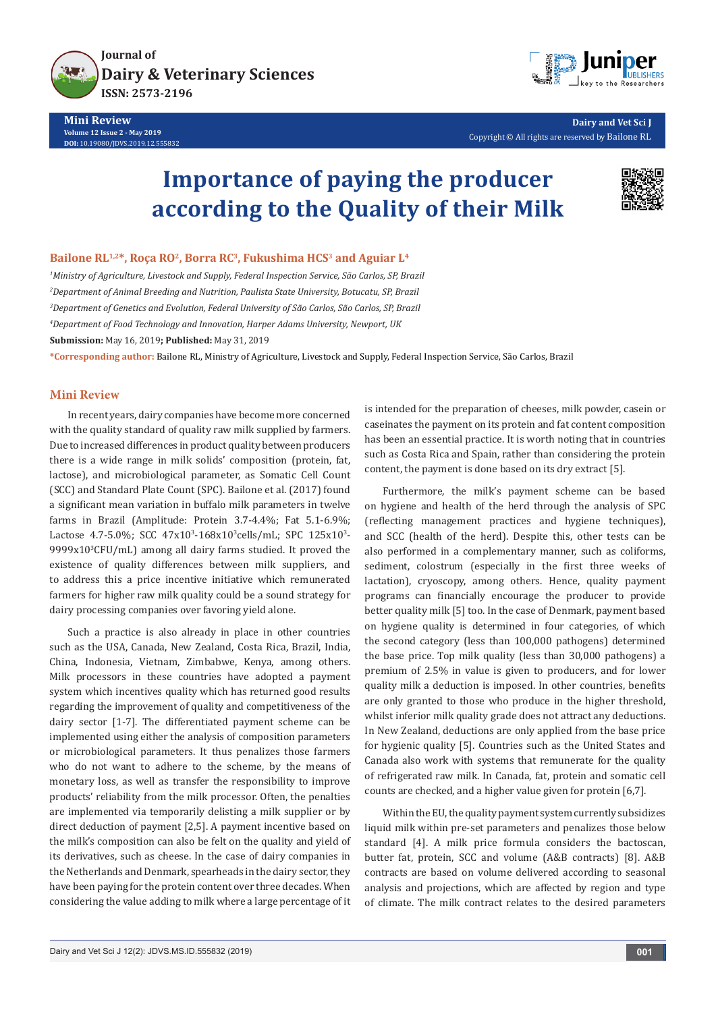

**Journal of [Dairy & Veterinary Sciences](https://juniperpublishers.com/jdvs/) ISSN: 2573-2196**

**Mini Review Volume 12 Issue 2 - May 2019 DOI:** [10.19080/JDVS.2019.12.555832](http://dx.doi.org/10.19080/JDVS.2019.12.555832)



**Dairy and Vet Sci J** Copyright © All rights are reserved by Bailone RL

# **Importance of paying the producer according to the Quality of their Milk**



### Bailone RL<sup>1,2\*</sup>, Roça RO<sup>2</sup>, Borra RC<sup>3</sup>, Fukushima HCS<sup>3</sup> and Aguiar L<sup>4</sup>

 *Ministry of Agriculture, Livestock and Supply, Federal Inspection Service, São Carlos, SP, Brazil Department of Animal Breeding and Nutrition, Paulista State University, Botucatu, SP, Brazil Department of Genetics and Evolution, Federal University of São Carlos, São Carlos, SP, Brazil Department of Food Technology and Innovation, Harper Adams University, Newport, UK* **Submission:** May 16, 2019**; Published:** May 31, 2019

**\*Corresponding author:** Bailone RL, Ministry of Agriculture, Livestock and Supply, Federal Inspection Service, São Carlos, Brazil

#### **Mini Review**

In recent years, dairy companies have become more concerned with the quality standard of quality raw milk supplied by farmers. Due to increased differences in product quality between producers there is a wide range in milk solids' composition (protein, fat, lactose), and microbiological parameter, as Somatic Cell Count (SCC) and Standard Plate Count (SPC). Bailone et al. (2017) found a significant mean variation in buffalo milk parameters in twelve farms in Brazil (Amplitude: Protein 3.7-4.4%; Fat 5.1-6.9%; Lactose 4.7-5.0%; SCC 47x10<sup>3</sup>-168x10<sup>3</sup>cells/mL; SPC 125x10<sup>3</sup>-9999x103 CFU/mL) among all dairy farms studied. It proved the existence of quality differences between milk suppliers, and to address this a price incentive initiative which remunerated farmers for higher raw milk quality could be a sound strategy for dairy processing companies over favoring yield alone.

Such a practice is also already in place in other countries such as the USA, Canada, New Zealand, Costa Rica, Brazil, India, China, Indonesia, Vietnam, Zimbabwe, Kenya, among others. Milk processors in these countries have adopted a payment system which incentives quality which has returned good results regarding the improvement of quality and competitiveness of the dairy sector [1-7]. The differentiated payment scheme can be implemented using either the analysis of composition parameters or microbiological parameters. It thus penalizes those farmers who do not want to adhere to the scheme, by the means of monetary loss, as well as transfer the responsibility to improve products' reliability from the milk processor. Often, the penalties are implemented via temporarily delisting a milk supplier or by direct deduction of payment [2,5]. A payment incentive based on the milk's composition can also be felt on the quality and yield of its derivatives, such as cheese. In the case of dairy companies in the Netherlands and Denmark, spearheads in the dairy sector, they have been paying for the protein content over three decades. When considering the value adding to milk where a large percentage of it is intended for the preparation of cheeses, milk powder, casein or caseinates the payment on its protein and fat content composition has been an essential practice. It is worth noting that in countries such as Costa Rica and Spain, rather than considering the protein content, the payment is done based on its dry extract [5].

Furthermore, the milk's payment scheme can be based on hygiene and health of the herd through the analysis of SPC (reflecting management practices and hygiene techniques), and SCC (health of the herd). Despite this, other tests can be also performed in a complementary manner, such as coliforms, sediment, colostrum (especially in the first three weeks of lactation), cryoscopy, among others. Hence, quality payment programs can financially encourage the producer to provide better quality milk [5] too. In the case of Denmark, payment based on hygiene quality is determined in four categories, of which the second category (less than 100,000 pathogens) determined the base price. Top milk quality (less than 30,000 pathogens) a premium of 2.5% in value is given to producers, and for lower quality milk a deduction is imposed. In other countries, benefits are only granted to those who produce in the higher threshold, whilst inferior milk quality grade does not attract any deductions. In New Zealand, deductions are only applied from the base price for hygienic quality [5]. Countries such as the United States and Canada also work with systems that remunerate for the quality of refrigerated raw milk. In Canada, fat, protein and somatic cell counts are checked, and a higher value given for protein [6,7].

Within the EU, the quality payment system currently subsidizes liquid milk within pre-set parameters and penalizes those below standard [4]. A milk price formula considers the bactoscan, butter fat, protein, SCC and volume (A&B contracts) [8]. A&B contracts are based on volume delivered according to seasonal analysis and projections, which are affected by region and type of climate. The milk contract relates to the desired parameters